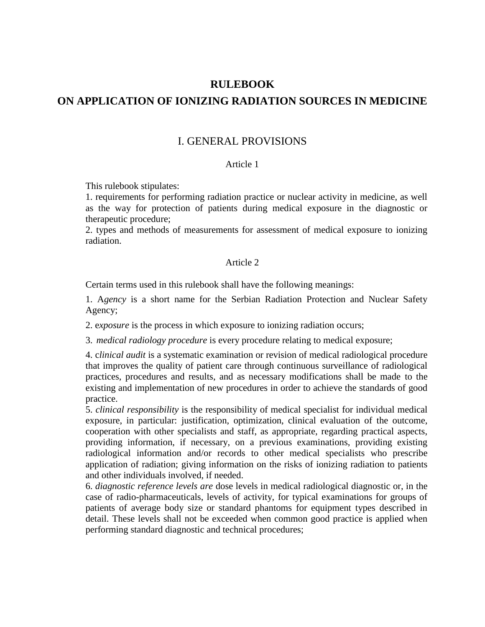# **RULEBOOK**

# **ON APPLICATION OF IONIZING RADIATION SOURCES IN MEDICINE**

# I. GENERAL PROVISIONS

#### Article 1

This rulebook stipulates:

1. requirements for performing radiation practice or nuclear activity in medicine, as well as the way for protection of patients during medical exposure in the diagnostic or therapeutic procedure;

2. types and methods of measurements for assessment of medical exposure to ionizing radiation.

### Article 2

Certain terms used in this rulebook shall have the following meanings:

1. A*gency* is a short name for the Serbian Radiation Protection and Nuclear Safety Agency;

2. e*xposure* is the process in which exposure to ionizing radiation occurs;

3. *medical radiology procedure* is every procedure relating to medical exposure;

4. c*linical audit* is a systematic examination or revision of medical radiological procedure that improves the quality of patient care through continuous surveillance of radiological practices, procedures and results, and as necessary modifications shall be made to the existing and implementation of new procedures in order to achieve the standards of good practice.

5. *clinical responsibility* is the responsibility of medical specialist for individual medical exposure, in particular: justification, optimization, clinical evaluation of the outcome, cooperation with other specialists and staff, as appropriate, regarding practical aspects, providing information, if necessary, on a previous examinations, providing existing radiological information and/or records to other medical specialists who prescribe application of radiation; giving information on the risks of ionizing radiation to patients and other individuals involved, if needed.

6. *diagnostic reference levels are* dose levels in medical radiological diagnostic or, in the case of radio-pharmaceuticals, levels of activity, for typical examinations for groups of patients of average body size or standard phantoms for equipment types described in detail. These levels shall not be exceeded when common good practice is applied when performing standard diagnostic and technical procedures;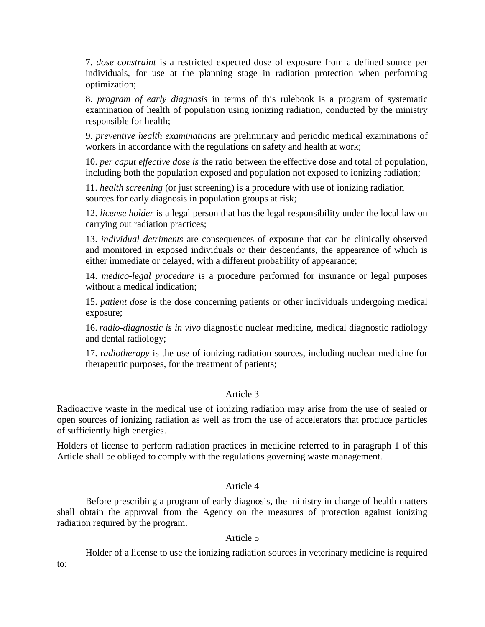7. *dose constraint* is a restricted expected dose of exposure from a defined source per individuals, for use at the planning stage in radiation protection when performing optimization;

8. *program of early diagnosis* in terms of this rulebook is a program of systematic examination of health of population using ionizing radiation, conducted by the ministry responsible for health;

9. *preventive health examinations* are preliminary and periodic medical examinations of workers in accordance with the regulations on safety and health at work;

10. *per caput effective dose is* the ratio between the effective dose and total of population, including both the population exposed and population not exposed to ionizing radiation;

11. *health screening* (or just screening) is a procedure with use of ionizing radiation sources for early diagnosis in population groups at risk;

12. *license holder* is a legal person that has the legal responsibility under the local law on carrying out radiation practices;

13. *individual detriments* are consequences of exposure that can be clinically observed and monitored in exposed individuals or their descendants, the appearance of which is either immediate or delayed, with a different probability of appearance;

14. *medico-legal procedure* is a procedure performed for insurance or legal purposes without a medical indication;

15. *patient dose* is the dose concerning patients or other individuals undergoing medical exposure;

16. *radio-diagnostic is in vivo* diagnostic nuclear medicine, medical diagnostic radiology and dental radiology;

17. r*adiotherapy* is the use of ionizing radiation sources, including nuclear medicine for therapeutic purposes, for the treatment of patients;

### Article 3

Radioactive waste in the medical use of ionizing radiation may arise from the use of sealed or open sources of ionizing radiation as well as from the use of accelerators that produce particles of sufficiently high energies.

Holders of license to perform radiation practices in medicine referred to in paragraph 1 of this Article shall be obliged to comply with the regulations governing waste management.

### Article 4

Before prescribing a program of early diagnosis, the ministry in charge of health matters shall obtain the approval from the Agency on the measures of protection against ionizing radiation required by the program.

### Article 5

Holder of a license to use the ionizing radiation sources in veterinary medicine is required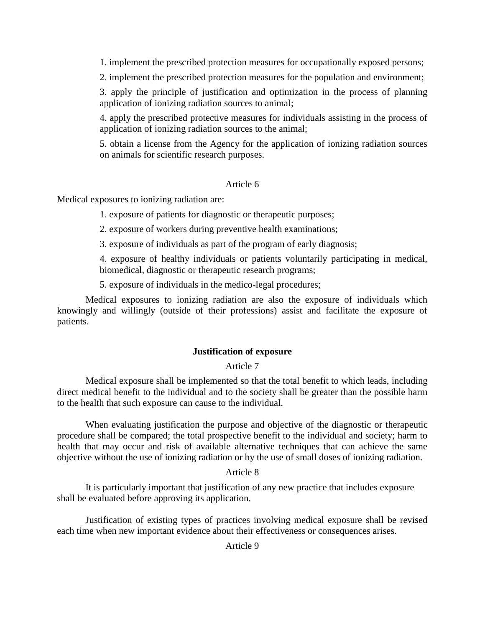1. implement the prescribed protection measures for occupationally exposed persons;

2. implement the prescribed protection measures for the population and environment;

3. apply the principle of justification and optimization in the process of planning application of ionizing radiation sources to animal;

4. apply the prescribed protective measures for individuals assisting in the process of application of ionizing radiation sources to the animal;

5. obtain a license from the Agency for the application of ionizing radiation sources on animals for scientific research purposes.

#### Article 6

Medical exposures to ionizing radiation are:

1. exposure of patients for diagnostic or therapeutic purposes;

2. exposure of workers during preventive health examinations;

3. exposure of individuals as part of the program of early diagnosis;

4. exposure of healthy individuals or patients voluntarily participating in medical, biomedical, diagnostic or therapeutic research programs;

5. exposure of individuals in the medico-legal procedures;

Medical exposures to ionizing radiation are also the exposure of individuals which knowingly and willingly (outside of their professions) assist and facilitate the exposure of patients.

### **Justification of exposure**

### Article 7

Medical exposure shall be implemented so that the total benefit to which leads, including direct medical benefit to the individual and to the society shall be greater than the possible harm to the health that such exposure can cause to the individual.

When evaluating justification the purpose and objective of the diagnostic or therapeutic procedure shall be compared; the total prospective benefit to the individual and society; harm to health that may occur and risk of available alternative techniques that can achieve the same objective without the use of ionizing radiation or by the use of small doses of ionizing radiation.

#### Article 8

It is particularly important that justification of any new practice that includes exposure shall be evaluated before approving its application.

Justification of existing types of practices involving medical exposure shall be revised each time when new important evidence about their effectiveness or consequences arises.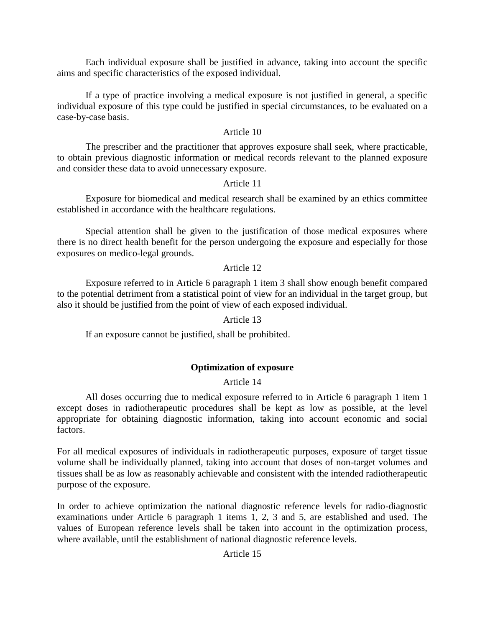Each individual exposure shall be justified in advance, taking into account the specific aims and specific characteristics of the exposed individual.

If a type of practice involving a medical exposure is not justified in general, a specific individual exposure of this type could be justified in special circumstances, to be evaluated on a case-by-case basis.

## Article 10

The prescriber and the practitioner that approves exposure shall seek, where practicable, to obtain previous diagnostic information or medical records relevant to the planned exposure and consider these data to avoid unnecessary exposure.

### Article 11

Exposure for biomedical and medical research shall be examined by an ethics committee established in accordance with the healthcare regulations.

Special attention shall be given to the justification of those medical exposures where there is no direct health benefit for the person undergoing the exposure and especially for those exposures on medico-legal grounds.

# Article 12

Exposure referred to in Article 6 paragraph 1 item 3 shall show enough benefit compared to the potential detriment from a statistical point of view for an individual in the target group, but also it should be justified from the point of view of each exposed individual.

### Article 13

If an exposure cannot be justified, shall be prohibited.

# **Optimization of exposure**

### Article 14

All doses occurring due to medical exposure referred to in Article 6 paragraph 1 item 1 except doses in radiotherapeutic procedures shall be kept as low as possible, at the level appropriate for obtaining diagnostic information, taking into account economic and social factors.

For all medical exposures of individuals in radiotherapeutic purposes, exposure of target tissue volume shall be individually planned, taking into account that doses of non-target volumes and tissues shall be as low as reasonably achievable and consistent with the intended radiotherapeutic purpose of the exposure.

In order to achieve optimization the national diagnostic reference levels for radio-diagnostic examinations under Article 6 paragraph 1 items 1, 2, 3 and 5, are established and used. The values of European reference levels shall be taken into account in the optimization process, where available, until the establishment of national diagnostic reference levels.

### Article 15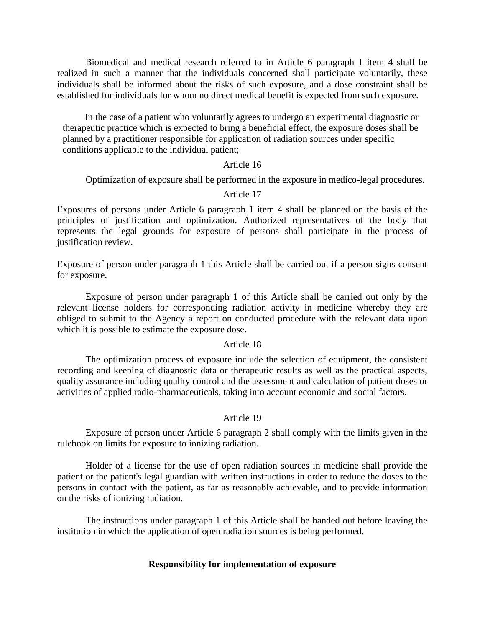Biomedical and medical research referred to in Article 6 paragraph 1 item 4 shall be realized in such a manner that the individuals concerned shall participate voluntarily, these individuals shall be informed about the risks of such exposure, and a dose constraint shall be established for individuals for whom no direct medical benefit is expected from such exposure.

In the case of a patient who voluntarily agrees to undergo an experimental diagnostic or therapeutic practice which is expected to bring a beneficial effect, the exposure doses shall be planned by a practitioner responsible for application of radiation sources under specific conditions applicable to the individual patient;

#### Article 16

Optimization of exposure shall be performed in the exposure in medico-legal procedures.

#### Article 17

Exposures of persons under Article 6 paragraph 1 item 4 shall be planned on the basis of the principles of justification and optimization. Authorized representatives of the body that represents the legal grounds for exposure of persons shall participate in the process of justification review.

Exposure of person under paragraph 1 this Article shall be carried out if a person signs consent for exposure.

Exposure of person under paragraph 1 of this Article shall be carried out only by the relevant license holders for corresponding radiation activity in medicine whereby they are obliged to submit to the Agency a report on conducted procedure with the relevant data upon which it is possible to estimate the exposure dose.

#### Article 18

The optimization process of exposure include the selection of equipment, the consistent recording and keeping of diagnostic data or therapeutic results as well as the practical aspects, quality assurance including quality control and the assessment and calculation of patient doses or activities of applied radio-pharmaceuticals, taking into account economic and social factors.

#### Article 19

Exposure of person under Article 6 paragraph 2 shall comply with the limits given in the rulebook on limits for exposure to ionizing radiation.

Holder of a license for the use of open radiation sources in medicine shall provide the patient or the patient's legal guardian with written instructions in order to reduce the doses to the persons in contact with the patient, as far as reasonably achievable, and to provide information on the risks of ionizing radiation.

The instructions under paragraph 1 of this Article shall be handed out before leaving the institution in which the application of open radiation sources is being performed.

#### **Responsibility for implementation of exposure**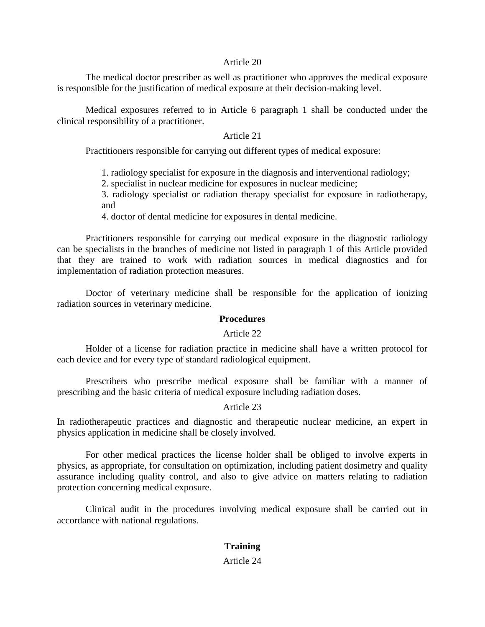#### Article 20

The medical doctor prescriber as well as practitioner who approves the medical exposure is responsible for the justification of medical exposure at their decision-making level.

Medical exposures referred to in Article 6 paragraph 1 shall be conducted under the clinical responsibility of a practitioner.

### Article 21

Practitioners responsible for carrying out different types of medical exposure:

1. radiology specialist for exposure in the diagnosis and interventional radiology;

2. specialist in nuclear medicine for exposures in nuclear medicine;

3. radiology specialist or radiation therapy specialist for exposure in radiotherapy, and

4. doctor of dental medicine for exposures in dental medicine.

Practitioners responsible for carrying out medical exposure in the diagnostic radiology can be specialists in the branches of medicine not listed in paragraph 1 of this Article provided that they are trained to work with radiation sources in medical diagnostics and for implementation of radiation protection measures.

Doctor of veterinary medicine shall be responsible for the application of ionizing radiation sources in veterinary medicine.

# **Procedures**

#### Article 22

Holder of a license for radiation practice in medicine shall have a written protocol for each device and for every type of standard radiological equipment.

Prescribers who prescribe medical exposure shall be familiar with a manner of prescribing and the basic criteria of medical exposure including radiation doses.

#### Article 23

In radiotherapeutic practices and diagnostic and therapeutic nuclear medicine, an expert in physics application in medicine shall be closely involved.

For other medical practices the license holder shall be obliged to involve experts in physics, as appropriate, for consultation on optimization, including patient dosimetry and quality assurance including quality control, and also to give advice on matters relating to radiation protection concerning medical exposure.

Clinical audit in the procedures involving medical exposure shall be carried out in accordance with national regulations.

# **Training**

#### Article 24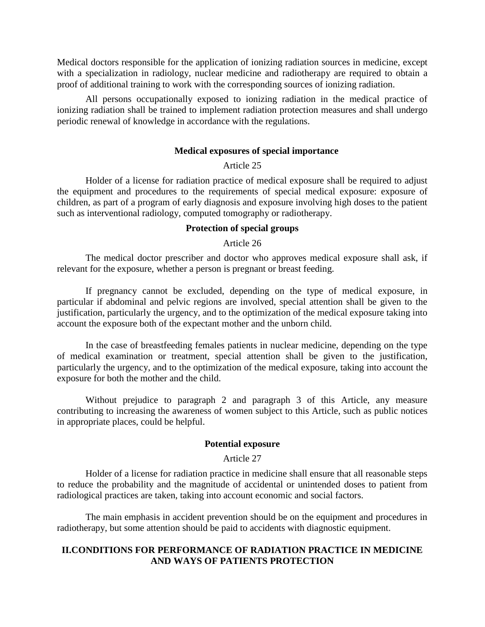Medical doctors responsible for the application of ionizing radiation sources in medicine, except with a specialization in radiology, nuclear medicine and radiotherapy are required to obtain a proof of additional training to work with the corresponding sources of ionizing radiation.

All persons occupationally exposed to ionizing radiation in the medical practice of ionizing radiation shall be trained to implement radiation protection measures and shall undergo periodic renewal of knowledge in accordance with the regulations.

#### **Medical exposures of special importance**

### Article 25

Holder of a license for radiation practice of medical exposure shall be required to adjust the equipment and procedures to the requirements of special medical exposure: exposure of children, as part of a program of early diagnosis and exposure involving high doses to the patient such as interventional radiology, computed tomography or radiotherapy.

### **Protection of special groups**

#### Article 26

The medical doctor prescriber and doctor who approves medical exposure shall ask, if relevant for the exposure, whether a person is pregnant or breast feeding.

If pregnancy cannot be excluded, depending on the type of medical exposure, in particular if abdominal and pelvic regions are involved, special attention shall be given to the justification, particularly the urgency, and to the optimization of the medical exposure taking into account the exposure both of the expectant mother and the unborn child.

In the case of breastfeeding females patients in nuclear medicine, depending on the type of medical examination or treatment, special attention shall be given to the justification, particularly the urgency, and to the optimization of the medical exposure, taking into account the exposure for both the mother and the child.

Without prejudice to paragraph 2 and paragraph 3 of this Article, any measure contributing to increasing the awareness of women subject to this Article, such as public notices in appropriate places, could be helpful.

#### **Potential exposure**

#### Article 27

Holder of a license for radiation practice in medicine shall ensure that all reasonable steps to reduce the probability and the magnitude of accidental or unintended doses to patient from radiological practices are taken, taking into account economic and social factors.

The main emphasis in accident prevention should be on the equipment and procedures in radiotherapy, but some attention should be paid to accidents with diagnostic equipment.

#### **II.CONDITIONS FOR PERFORMANCE OF RADIATION PRACTICE IN MEDICINE AND WAYS OF PATIENTS PROTECTION**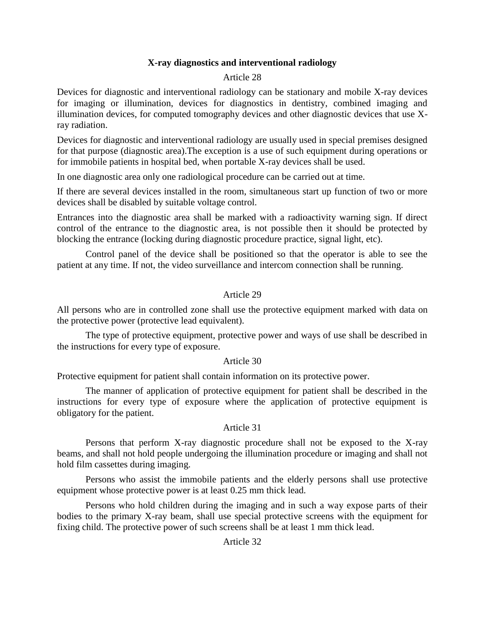# **X-ray diagnostics and interventional radiology**

### Article 28

Devices for diagnostic and interventional radiology can be stationary and mobile X-ray devices for imaging or illumination, devices for diagnostics in dentistry, combined imaging and illumination devices, for computed tomography devices and other diagnostic devices that use Xray radiation.

Devices for diagnostic and interventional radiology are usually used in special premises designed for that purpose (diagnostic area).The exception is a use of such equipment during operations or for immobile patients in hospital bed, when portable X-ray devices shall be used.

In one diagnostic area only one radiological procedure can be carried out at time.

If there are several devices installed in the room, simultaneous start up function of two or more devices shall be disabled by suitable voltage control.

Entrances into the diagnostic area shall be marked with a radioactivity warning sign. If direct control of the entrance to the diagnostic area, is not possible then it should be protected by blocking the entrance (locking during diagnostic procedure practice, signal light, etc).

Control panel of the device shall be positioned so that the operator is able to see the patient at any time. If not, the video surveillance and intercom connection shall be running.

### Article 29

All persons who are in controlled zone shall use the protective equipment marked with data on the protective power (protective lead equivalent).

The type of protective equipment, protective power and ways of use shall be described in the instructions for every type of exposure.

### Article 30

Protective equipment for patient shall contain information on its protective power.

The manner of application of protective equipment for patient shall be described in the instructions for every type of exposure where the application of protective equipment is obligatory for the patient.

#### Article 31

Persons that perform X-ray diagnostic procedure shall not be exposed to the X-ray beams, and shall not hold people undergoing the illumination procedure or imaging and shall not hold film cassettes during imaging.

Persons who assist the immobile patients and the elderly persons shall use protective equipment whose protective power is at least 0.25 mm thick lead.

Persons who hold children during the imaging and in such a way expose parts of their bodies to the primary X-ray beam, shall use special protective screens with the equipment for fixing child. The protective power of such screens shall be at least 1 mm thick lead.

### Article 32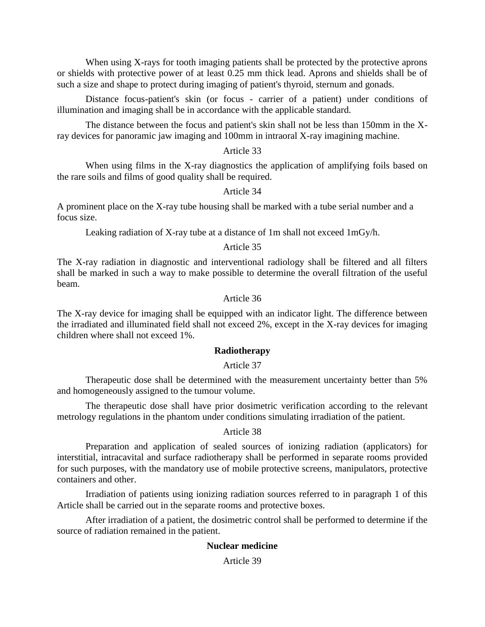When using X-rays for tooth imaging patients shall be protected by the protective aprons or shields with protective power of at least 0.25 mm thick lead. Aprons and shields shall be of such a size and shape to protect during imaging of patient's thyroid, sternum and gonads.

Distance focus-patient's skin (or focus - carrier of a patient) under conditions of illumination and imaging shall be in accordance with the applicable standard.

The distance between the focus and patient's skin shall not be less than 150mm in the Xray devices for panoramic jaw imaging and 100mm in intraoral X-ray imagining machine.

### Article 33

When using films in the X-ray diagnostics the application of amplifying foils based on the rare soils and films of good quality shall be required.

Article 34

A prominent place on the X-ray tube housing shall be marked with a tube serial number and a focus size.

Leaking radiation of X-ray tube at a distance of 1m shall not exceed 1mGy/h.

### Article 35

The X-ray radiation in diagnostic and interventional radiology shall be filtered and all filters shall be marked in such a way to make possible to determine the overall filtration of the useful beam.

### Article 36

The X-ray device for imaging shall be equipped with an indicator light. The difference between the irradiated and illuminated field shall not exceed 2%, except in the X-ray devices for imaging children where shall not exceed 1%.

### **Radiotherapy**

## Article 37

Therapeutic dose shall be determined with the measurement uncertainty better than 5% and homogeneously assigned to the tumour volume.

The therapeutic dose shall have prior dosimetric verification according to the relevant metrology regulations in the phantom under conditions simulating irradiation of the patient.

#### Article 38

Preparation and application of sealed sources of ionizing radiation (applicators) for interstitial, intracavital and surface radiotherapy shall be performed in separate rooms provided for such purposes, with the mandatory use of mobile protective screens, manipulators, protective containers and other.

Irradiation of patients using ionizing radiation sources referred to in paragraph 1 of this Article shall be carried out in the separate rooms and protective boxes.

After irradiation of a patient, the dosimetric control shall be performed to determine if the source of radiation remained in the patient.

### **Nuclear medicine**

Article 39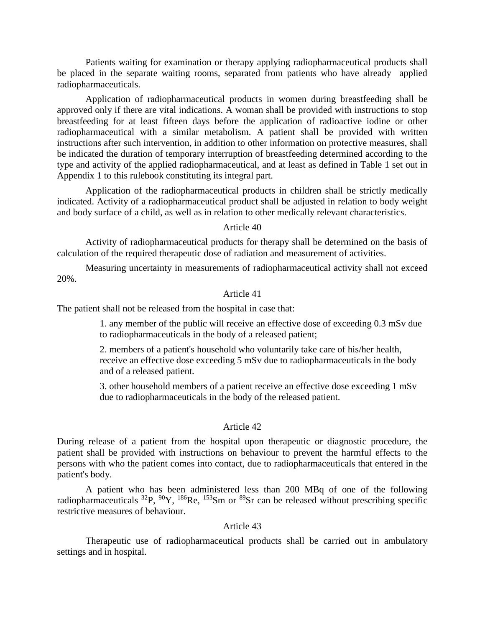Patients waiting for examination or therapy applying radiopharmaceutical products shall be placed in the separate waiting rooms, separated from patients who have already applied radiopharmaceuticals.

Application of radiopharmaceutical products in women during breastfeeding shall be approved only if there are vital indications. A woman shall be provided with instructions to stop breastfeeding for at least fifteen days before the application of radioactive iodine or other radiopharmaceutical with a similar metabolism. A patient shall be provided with written instructions after such intervention, in addition to other information on protective measures, shall be indicated the duration of temporary interruption of breastfeeding determined according to the type and activity of the applied radiopharmaceutical, and at least as defined in Table 1 set out in Appendix 1 to this rulebook constituting its integral part.

Application of the radiopharmaceutical products in children shall be strictly medically indicated. Activity of a radiopharmaceutical product shall be adjusted in relation to body weight and body surface of a child, as well as in relation to other medically relevant characteristics.

#### Article 40

Activity of radiopharmaceutical products for therapy shall be determined on the basis of calculation of the required therapeutic dose of radiation and measurement of activities.

Measuring uncertainty in measurements of radiopharmaceutical activity shall not exceed 20%.

#### Article 41

The patient shall not be released from the hospital in case that:

1. any member of the public will receive an effective dose of exceeding 0.3 mSv due to radiopharmaceuticals in the body of a released patient;

2. members of a patient's household who voluntarily take care of his/her health, receive an effective dose exceeding 5 mSv due to radiopharmaceuticals in the body and of a released patient.

3. other household members of a patient receive an effective dose exceeding 1 mSv due to radiopharmaceuticals in the body of the released patient.

### Article 42

During release of a patient from the hospital upon therapeutic or diagnostic procedure, the patient shall be provided with instructions on behaviour to prevent the harmful effects to the persons with who the patient comes into contact, due to radiopharmaceuticals that entered in the patient's body.

A patient who has been administered less than 200 MBq of one of the following radiopharmaceuticals  $^{32}P$ ,  $^{90}Y$ ,  $^{186}Re$ ,  $^{153}Sm$  or  $^{89}Sr$  can be released without prescribing specific restrictive measures of behaviour.

### Article 43

Therapeutic use of radiopharmaceutical products shall be carried out in ambulatory settings and in hospital.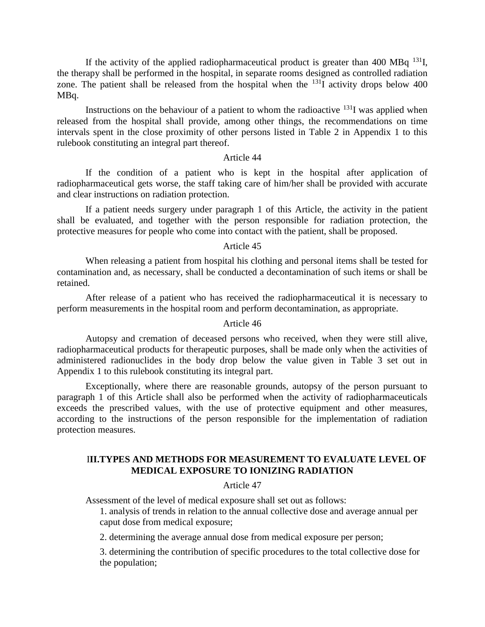If the activity of the applied radiopharmaceutical product is greater than 400 MB $q^{131}$ I, the therapy shall be performed in the hospital, in separate rooms designed as controlled radiation zone. The patient shall be released from the hospital when the  $^{131}$ I activity drops below 400 MBq.

Instructions on the behaviour of a patient to whom the radioactive  $^{131}$ I was applied when released from the hospital shall provide, among other things, the recommendations on time intervals spent in the close proximity of other persons listed in Table 2 in Appendix 1 to this rulebook constituting an integral part thereof.

#### Article 44

If the condition of a patient who is kept in the hospital after application of radiopharmaceutical gets worse, the staff taking care of him/her shall be provided with accurate and clear instructions on radiation protection.

If a patient needs surgery under paragraph 1 of this Article, the activity in the patient shall be evaluated, and together with the person responsible for radiation protection, the protective measures for people who come into contact with the patient, shall be proposed.

#### Article 45

When releasing a patient from hospital his clothing and personal items shall be tested for contamination and, as necessary, shall be conducted a decontamination of such items or shall be retained.

After release of a patient who has received the radiopharmaceutical it is necessary to perform measurements in the hospital room and perform decontamination, as appropriate.

#### Article 46

Autopsy and cremation of deceased persons who received, when they were still alive, radiopharmaceutical products for therapeutic purposes, shall be made only when the activities of administered radionuclides in the body drop below the value given in Table 3 set out in Appendix 1 to this rulebook constituting its integral part.

Exceptionally, where there are reasonable grounds, autopsy of the person pursuant to paragraph 1 of this Article shall also be performed when the activity of radiopharmaceuticals exceeds the prescribed values, with the use of protective equipment and other measures, according to the instructions of the person responsible for the implementation of radiation protection measures.

# I**II.TYPES AND METHODS FOR MEASUREMENT TO EVALUATE LEVEL OF MEDICAL EXPOSURE TO IONIZING RADIATION**

#### Article 47

Assessment of the level of medical exposure shall set out as follows:

1. analysis of trends in relation to the annual collective dose and average annual per caput dose from medical exposure;

2. determining the average annual dose from medical exposure per person;

3. determining the contribution of specific procedures to the total collective dose for the population;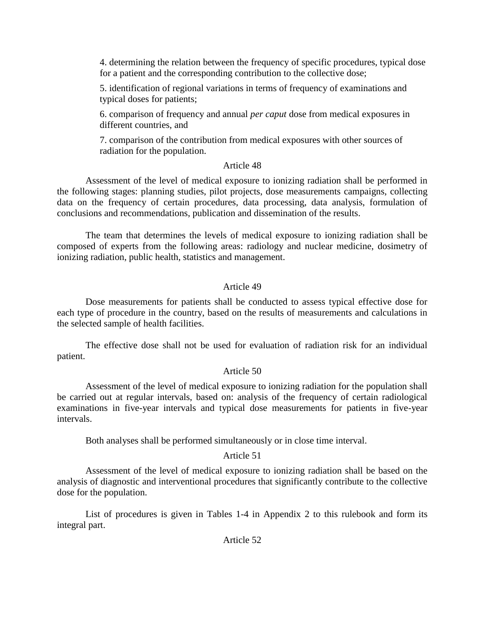4. determining the relation between the frequency of specific procedures, typical dose for a patient and the corresponding contribution to the collective dose;

5. identification of regional variations in terms of frequency of examinations and typical doses for patients;

6. comparison of frequency and annual *per caput* dose from medical exposures in different countries, and

7. comparison of the contribution from medical exposures with other sources of radiation for the population.

# Article 48

Assessment of the level of medical exposure to ionizing radiation shall be performed in the following stages: planning studies, pilot projects, dose measurements campaigns, collecting data on the frequency of certain procedures, data processing, data analysis, formulation of conclusions and recommendations, publication and dissemination of the results.

The team that determines the levels of medical exposure to ionizing radiation shall be composed of experts from the following areas: radiology and nuclear medicine, dosimetry of ionizing radiation, public health, statistics and management.

# Article 49

Dose measurements for patients shall be conducted to assess typical effective dose for each type of procedure in the country, based on the results of measurements and calculations in the selected sample of health facilities.

The effective dose shall not be used for evaluation of radiation risk for an individual patient.

# Article 50

Assessment of the level of medical exposure to ionizing radiation for the population shall be carried out at regular intervals, based on: analysis of the frequency of certain radiological examinations in five-year intervals and typical dose measurements for patients in five-year intervals.

Both analyses shall be performed simultaneously or in close time interval.

# Article 51

Assessment of the level of medical exposure to ionizing radiation shall be based on the analysis of diagnostic and interventional procedures that significantly contribute to the collective dose for the population.

List of procedures is given in Tables 1-4 in Appendix 2 to this rulebook and form its integral part.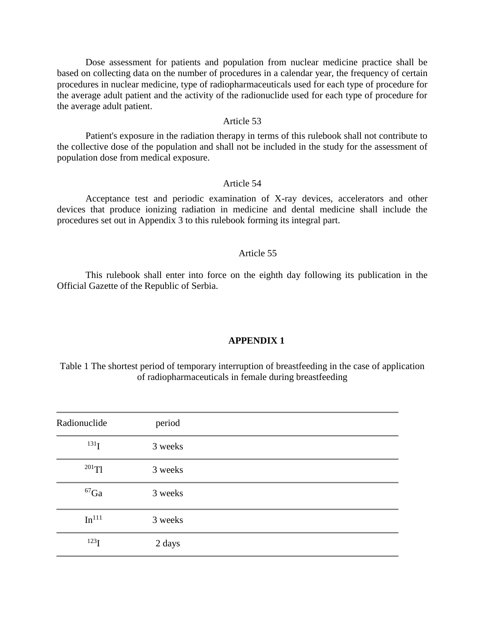Dose assessment for patients and population from nuclear medicine practice shall be based on collecting data on the number of procedures in a calendar year, the frequency of certain procedures in nuclear medicine, type of radiopharmaceuticals used for each type of procedure for the average adult patient and the activity of the radionuclide used for each type of procedure for the average adult patient.

#### Article 53

Patient's exposure in the radiation therapy in terms of this rulebook shall not contribute to the collective dose of the population and shall not be included in the study for the assessment of population dose from medical exposure.

### Article 54

Acceptance test and periodic examination of X-ray devices, accelerators and other devices that produce ionizing radiation in medicine and dental medicine shall include the procedures set out in Appendix 3 to this rulebook forming its integral part.

#### Article 55

This rulebook shall enter into force on the eighth day following its publication in the Official Gazette of the Republic of Serbia.

#### **APPENDIX 1**

Table 1 The shortest period of temporary interruption of breastfeeding in the case of application of radiopharmaceuticals in female during breastfeeding

| Radionuclide      | period  |  |
|-------------------|---------|--|
| 131 <sub>I</sub>  | 3 weeks |  |
| $^{201}$ Tl       | 3 weeks |  |
| ${}^{67}Ga$       | 3 weeks |  |
| In <sup>111</sup> | 3 weeks |  |
| 123 <sub>I</sub>  | 2 days  |  |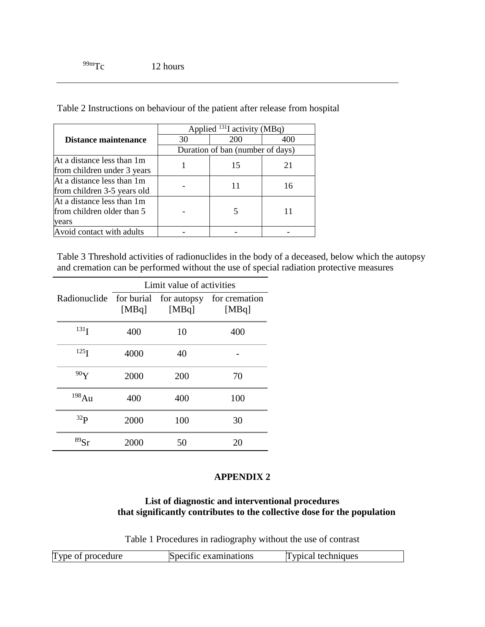Table 2 Instructions on behaviour of the patient after release from hospital

|                             | Applied $^{131}$ I activity (MBq) |     |     |  |
|-----------------------------|-----------------------------------|-----|-----|--|
| Distance maintenance        | 30                                | 200 | 400 |  |
|                             | Duration of ban (number of days)  |     |     |  |
| At a distance less than 1m  |                                   | 15  | 21  |  |
| from children under 3 years |                                   |     |     |  |
| At a distance less than 1m  |                                   |     | 16  |  |
| from children 3-5 years old |                                   |     |     |  |
| At a distance less than 1m  |                                   |     |     |  |
| from children older than 5  |                                   |     |     |  |
| years                       |                                   |     |     |  |
| Avoid contact with adults   |                                   |     |     |  |

Table 3 Threshold activities of radionuclides in the body of a deceased, below which the autopsy and cremation can be performed without the use of special radiation protective measures

|                                     | Limit value of activities |       |                        |  |
|-------------------------------------|---------------------------|-------|------------------------|--|
| Radionuclide for burial for autopsy | [MBq]                     | [MBq] | for cremation<br>[MBq] |  |
| 131 <sub>I</sub>                    | 400                       | 10    | 400                    |  |
| 125 <sub>I</sub>                    | 4000                      | 40    |                        |  |
| 90 <sub>Y</sub>                     | 2000                      | 200   | 70                     |  |
| 198Au                               | 400                       | 400   | 100                    |  |
| 32 <sub>P</sub>                     | 2000                      | 100   | 30                     |  |
| 89Sr                                | 2000                      | 50    | 20                     |  |

### **APPENDIX 2**

# **List of diagnostic and interventional procedures that significantly contributes to the collective dose for the population**

Table 1 Procedures in radiography without the use of contrast

| Type<br>techniques<br>procedure<br>ific examinations<br><b>Contract of the State of the Association</b><br>Snei<br>$\leftrightarrow$ |  |  |
|--------------------------------------------------------------------------------------------------------------------------------------|--|--|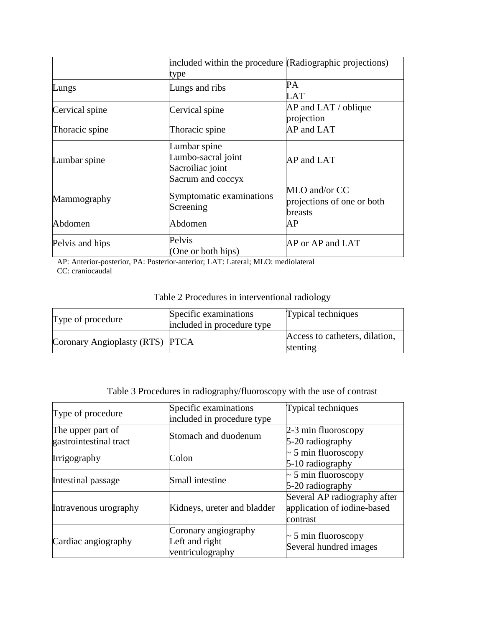|                 | included within the procedure (Radiographic projections)                    |                                                        |
|-----------------|-----------------------------------------------------------------------------|--------------------------------------------------------|
|                 | type                                                                        |                                                        |
| Lungs           | Lungs and ribs                                                              | PA<br>LAT                                              |
| Cervical spine  | Cervical spine                                                              | $AP$ and $LAT$ / oblique<br>projection                 |
| Thoracic spine  | Thoracic spine                                                              | AP and LAT                                             |
| Lumbar spine    | Lumbar spine<br>Lumbo-sacral joint<br>Sacroiliac joint<br>Sacrum and coccyx | AP and LAT                                             |
| Mammography     | Symptomatic examinations<br>Screening                                       | MLO and/or CC<br>projections of one or both<br>breasts |
| Abdomen         | Abdomen                                                                     | AP                                                     |
| Pelvis and hips | Pelvis<br>(One or both hips)                                                | AP or AP and LAT                                       |

AP: Anterior-posterior, PA: Posterior-anterior; LAT: Lateral; MLO: mediolateral CC: craniocaudal

| Type of procedure               | Specific examinations<br>included in procedure type | Typical techniques                         |
|---------------------------------|-----------------------------------------------------|--------------------------------------------|
| Coronary Angioplasty (RTS) PTCA |                                                     | Access to catheters, dilation,<br>stenting |

| Table 3 Procedures in radiography/fluoroscopy with the use of contrast |  |  |  |
|------------------------------------------------------------------------|--|--|--|
|------------------------------------------------------------------------|--|--|--|

| Type of procedure                           | Specific examinations<br>included in procedure type        | Typical techniques                                                      |  |
|---------------------------------------------|------------------------------------------------------------|-------------------------------------------------------------------------|--|
| The upper part of<br>gastrointestinal tract | Stomach and duodenum                                       | 2-3 min fluoroscopy<br>5-20 radiography                                 |  |
| Irrigography                                | Colon                                                      | $\sim$ 5 min fluoroscopy<br>5-10 radiography                            |  |
| Intestinal passage                          | Small intestine                                            | $\sim$ 5 min fluoroscopy<br>5-20 radiography                            |  |
| Intravenous urography                       | Kidneys, ureter and bladder                                | Several AP radiography after<br>application of iodine-based<br>contrast |  |
| Cardiac angiography                         | Coronary angiography<br>Left and right<br>ventriculography | $\sim$ 5 min fluoroscopy<br>Several hundred images                      |  |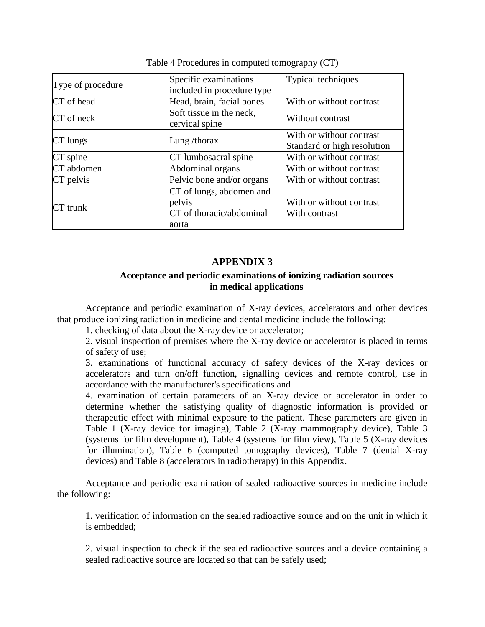|                   | Specific examinations                      | Typical techniques          |
|-------------------|--------------------------------------------|-----------------------------|
| Type of procedure | included in procedure type                 |                             |
| CT of head        | Head, brain, facial bones                  | With or without contrast    |
| CT of neck        | Soft tissue in the neck,<br>cervical spine | Without contrast            |
|                   |                                            | With or without contrast    |
| CT lungs          | Lung/thorax                                | Standard or high resolution |
| CT spine          | CT lumbosacral spine                       | With or without contrast    |
| CT abdomen        | Abdominal organs                           | With or without contrast    |
| CT pelvis         | Pelvic bone and/or organs                  | With or without contrast    |
|                   | CT of lungs, abdomen and                   |                             |
| $CT$ trunk        | pelvis                                     | With or without contrast    |
|                   | CT of thoracic/abdominal                   | With contrast               |
|                   | aorta                                      |                             |

Table 4 Procedures in computed tomography (CT)

# **APPENDIX 3**

# **Acceptance and periodic examinations of ionizing radiation sources in medical applications**

Acceptance and periodic examination of X-ray devices, accelerators and other devices that produce ionizing radiation in medicine and dental medicine include the following:

1. checking of data about the X-ray device or accelerator;

2. visual inspection of premises where the X-ray device or accelerator is placed in terms of safety of use;

3. examinations of functional accuracy of safety devices of the X-ray devices or accelerators and turn on/off function, signalling devices and remote control, use in accordance with the manufacturer's specifications and

4. examination of certain parameters of an X-ray device or accelerator in order to determine whether the satisfying quality of diagnostic information is provided or therapeutic effect with minimal exposure to the patient. These parameters are given in Table 1 (X-ray device for imaging), Table 2 (X-ray mammography device), Table 3 (systems for film development), Table 4 (systems for film view), Table 5 (X-ray devices for illumination), Table 6 (computed tomography devices), Table 7 (dental X-ray devices) and Table 8 (accelerators in radiotherapy) in this Appendix.

Acceptance and periodic examination of sealed radioactive sources in medicine include the following:

1. verification of information on the sealed radioactive source and on the unit in which it is embedded;

2. visual inspection to check if the sealed radioactive sources and a device containing a sealed radioactive source are located so that can be safely used;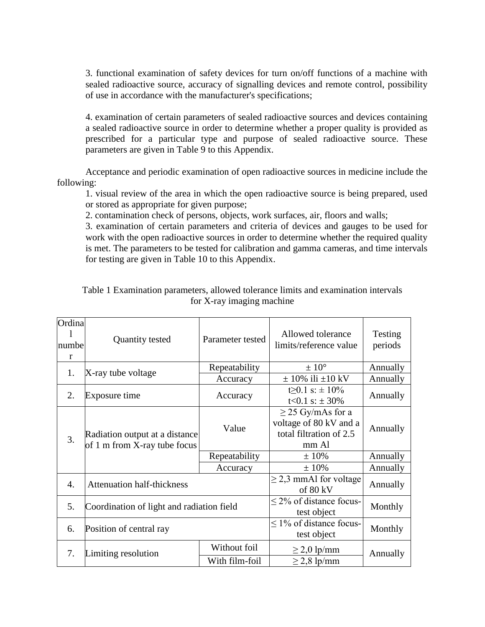3. functional examination of safety devices for turn on/off functions of a machine with sealed radioactive source, accuracy of signalling devices and remote control, possibility of use in accordance with the manufacturer's specifications;

4. examination of certain parameters of sealed radioactive sources and devices containing a sealed radioactive source in order to determine whether a proper quality is provided as prescribed for a particular type and purpose of sealed radioactive source. These parameters are given in Table 9 to this Appendix.

Acceptance and periodic examination of open radioactive sources in medicine include the following:

1. visual review of the area in which the open radioactive source is being prepared, used or stored as appropriate for given purpose;

2. contamination check of persons, objects, work surfaces, air, floors and walls;

3. examination of certain parameters and criteria of devices and gauges to be used for work with the open radioactive sources in order to determine whether the required quality is met. The parameters to be tested for calibration and gamma cameras, and time intervals for testing are given in Table 10 to this Appendix.

| Ordina<br>numbe<br>r | <b>Quantity tested</b>                                         | Parameter tested               | Allowed tolerance<br>limits/reference value                                          | Testing<br>periods |
|----------------------|----------------------------------------------------------------|--------------------------------|--------------------------------------------------------------------------------------|--------------------|
| 1.                   | X-ray tube voltage                                             | Repeatability                  | $\pm~10^{\circ}$                                                                     | Annually           |
|                      |                                                                | Accuracy                       | $\pm$ 10% ili $\pm$ 10 kV                                                            | Annually           |
| 2.                   | Exposure time                                                  | Accuracy                       | $t>0.1$ s: $\pm 10\%$<br>t<0.1 s: $\pm$ 30%                                          | Annually           |
| 3.                   | Radiation output at a distance<br>of 1 m from X-ray tube focus | Value                          | $\geq$ 25 Gy/mAs for a<br>voltage of 80 kV and a<br>total filtration of 2.5<br>mm Al | Annually           |
|                      |                                                                | Repeatability                  | $±10\%$                                                                              | Annually           |
|                      |                                                                | Accuracy                       | $±10\%$                                                                              | Annually           |
| $\mathbf{4}_{\cdot}$ | <b>Attenuation half-thickness</b>                              |                                | $\geq$ 2,3 mmAl for voltage<br>of 80 kV                                              | Annually           |
| 5.                   | Coordination of light and radiation field                      |                                | $\leq$ 2% of distance focus-<br>test object                                          | Monthly            |
| 6.                   | Position of central ray                                        |                                | $\leq$ 1% of distance focus-<br>test object                                          | Monthly            |
| 7.                   | Limiting resolution                                            | Without foil<br>With film-foil | $\geq$ 2,0 lp/mm<br>$\geq$ 2,8 lp/mm                                                 | Annually           |
|                      |                                                                |                                |                                                                                      |                    |

Table 1 Examination parameters, allowed tolerance limits and examination intervals for X-ray imaging machine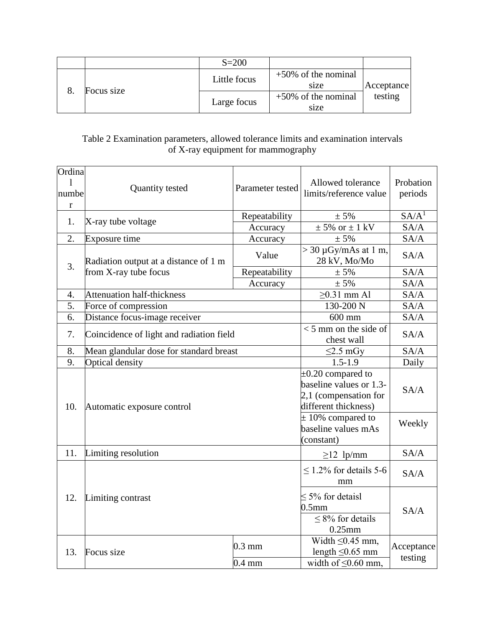|            | $S = 200$    |                                |            |
|------------|--------------|--------------------------------|------------|
|            | Little focus | $+50\%$ of the nominal<br>size | Acceptance |
| Focus size | Large focus  | $+50\%$ of the nominal<br>size | testing    |

# Table 2 Examination parameters, allowed tolerance limits and examination intervals of X-ray equipment for mammography

| Ordina<br>1<br>numbe<br>r | Quantity tested<br>Parameter tested                |                                                            | Allowed tolerance<br>limits/reference value                                | Probation<br>periods  |                                                                                                    |      |
|---------------------------|----------------------------------------------------|------------------------------------------------------------|----------------------------------------------------------------------------|-----------------------|----------------------------------------------------------------------------------------------------|------|
| 1.                        | Repeatability<br>X-ray tube voltage<br>Accuracy    |                                                            | ± 5%                                                                       | SA/A <sup>1</sup>     |                                                                                                    |      |
|                           |                                                    | $\pm$ 5% or $\pm$ 1 kV                                     | SA/A                                                                       |                       |                                                                                                    |      |
| 2.                        | Exposure time                                      | Accuracy                                                   | ± 5%                                                                       | SA/A                  |                                                                                                    |      |
| 3.                        | Radiation output at a distance of 1 m              | Value                                                      | $>$ 30 µGy/mAs at 1 m,<br>28 kV, Mo/Mo                                     | SA/A                  |                                                                                                    |      |
|                           | from X-ray tube focus                              | Repeatability                                              | ± 5%                                                                       | SA/A                  |                                                                                                    |      |
|                           |                                                    | Accuracy                                                   | ± 5%                                                                       | SA/A                  |                                                                                                    |      |
| $\overline{4}$ .          | <b>Attenuation half-thickness</b>                  |                                                            | $\geq$ 0.31 mm Al                                                          | SA/A                  |                                                                                                    |      |
| 5.                        | Force of compression                               | 130-200 N                                                  | SA/A                                                                       |                       |                                                                                                    |      |
| 6.                        | Distance focus-image receiver                      | $600$ mm                                                   | SA/A                                                                       |                       |                                                                                                    |      |
| 7.                        | Coincidence of light and radiation field           | $<$ 5 mm on the side of<br>chest wall                      | SA/A                                                                       |                       |                                                                                                    |      |
| 8.                        | Mean glandular dose for standard breast            | $\leq$ 2.5 mGy                                             | SA/A                                                                       |                       |                                                                                                    |      |
| 9.                        | <b>Optical density</b>                             | $1.5 - 1.9$                                                | Daily                                                                      |                       |                                                                                                    |      |
| 10.                       | Automatic exposure control                         |                                                            |                                                                            |                       | $\pm 0.20$ compared to<br>baseline values or 1.3-<br>2,1 (compensation for<br>different thickness) | SA/A |
|                           |                                                    | $\pm$ 10% compared to<br>baseline values mAs<br>(constant) | Weekly                                                                     |                       |                                                                                                    |      |
| 11.                       | Limiting resolution                                |                                                            | $\geq$ 12 lp/mm                                                            | SA/A                  |                                                                                                    |      |
|                           |                                                    |                                                            | $\leq$ 1.2% for details 5-6<br>mm                                          | SA/A                  |                                                                                                    |      |
| 12.                       | Limiting contrast                                  | $\leq$ 5% for detaisl<br>0.5 <sub>mm</sub>                 |                                                                            | SA/A                  |                                                                                                    |      |
| 13.                       | $0.3 \text{ mm}$<br>Focus size<br>$0.4 \text{ mm}$ |                                                            | Width $\leq 0.45$ mm,<br>length $\leq 0.65$ mm<br>width of $\leq 0.60$ mm, | Acceptance<br>testing |                                                                                                    |      |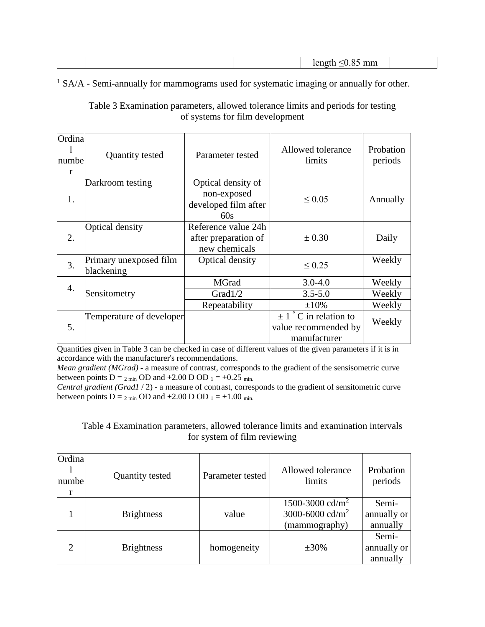| mm |
|----|
|----|

<sup>1</sup> SA/A - Semi-annually for mammograms used for systematic imaging or annually for other.

Table 3 Examination parameters, allowed tolerance limits and periods for testing of systems for film development

| Ordinal<br>numbel<br>r | Quantity tested                      | Parameter tested                                                 | Allowed tolerance<br>limits                                        | Probation<br>periods |
|------------------------|--------------------------------------|------------------------------------------------------------------|--------------------------------------------------------------------|----------------------|
| 1.                     | Darkroom testing                     | Optical density of<br>non-exposed<br>developed film after<br>60s | $\leq 0.05$                                                        | Annually             |
| 2.                     | Optical density                      | Reference value 24h<br>after preparation of<br>new chemicals     | $\pm 0.30$                                                         | Daily                |
| 3.                     | Primary unexposed film<br>blackening | Optical density                                                  | ${}_{0.25}$                                                        | Weekly               |
| $\overline{4}$ .       |                                      | MGrad                                                            | $3.0 - 4.0$                                                        | Weekly               |
|                        | Sensitometry                         | Grad1/2                                                          | $3.5 - 5.0$                                                        | Weekly               |
|                        |                                      | Repeatability                                                    | $\pm 10\%$                                                         | Weekly               |
| 5.                     | Temperature of developer             |                                                                  | $\pm 1$ ° C in relation to<br>value recommended by<br>manufacturer | Weekly               |

Quantities given in Table 3 can be checked in case of different values of the given parameters if it is in accordance with the manufacturer's recommendations.

*Mean gradient (MGrad)* - a measure of contrast, corresponds to the gradient of the sensisometric curve between points  $D = 2 \text{ min}$  OD and +2.00 D OD  $1 = +0.25 \text{ min}$ .

*Central gradient (Grad1* / 2) - a measure of contrast, corresponds to the gradient of sensitometric curve between points  $D = 2 \text{ min}$  OD and  $+2.00$  D OD  $1 = +1.00 \text{ min}$ .

### Table 4 Examination parameters, allowed tolerance limits and examination intervals for system of film reviewing

| Ordina<br>numbe | <b>Quantity tested</b> | Parameter tested | Allowed tolerance<br>limits                                                 | Probation<br>periods             |
|-----------------|------------------------|------------------|-----------------------------------------------------------------------------|----------------------------------|
|                 | <b>Brightness</b>      | value            | 1500-3000 cd/m <sup>2</sup><br>3000-6000 cd/m <sup>2</sup><br>(mammography) | Semi-<br>annually or<br>annually |
| $\overline{2}$  | <b>Brightness</b>      | homogeneity      | $\pm 30\%$                                                                  | Semi-<br>annually or<br>annually |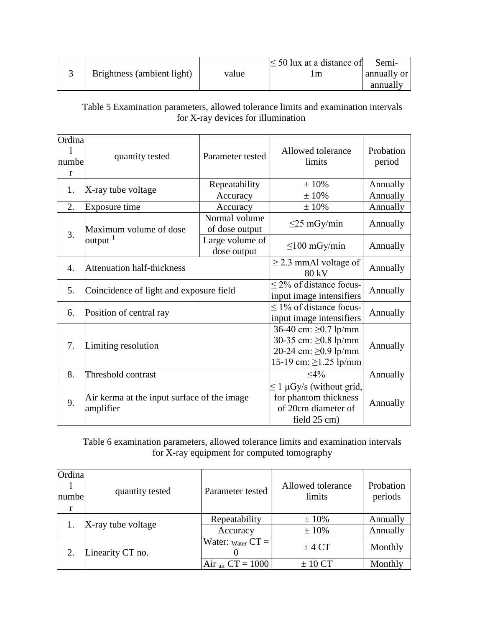|  |                            |       | $\leq$ 50 lux at a distance of | Semi-       |
|--|----------------------------|-------|--------------------------------|-------------|
|  | Brightness (ambient light) | value | .m                             | annually or |
|  |                            |       |                                | annually    |

Table 5 Examination parameters, allowed tolerance limits and examination intervals for X-ray devices for illumination

| Ordina           |                                             |                          |                               |           |  |
|------------------|---------------------------------------------|--------------------------|-------------------------------|-----------|--|
|                  | Parameter tested<br>quantity tested         |                          | Allowed tolerance             | Probation |  |
| numbe            |                                             |                          | limits                        | period    |  |
| r                |                                             |                          |                               |           |  |
| 1.               | X-ray tube voltage                          | Repeatability            | $±10\%$                       | Annually  |  |
|                  |                                             | Accuracy                 | ±10%                          | Annually  |  |
| 2.               | Exposure time                               | Accuracy                 | $±10\%$                       | Annually  |  |
|                  |                                             | Normal volume            | $\leq$ 25 mGy/min             | Annually  |  |
| 3.               | Maximum volume of dose                      | of dose output           |                               |           |  |
|                  | output $1$                                  | Large volume of          | $\leq$ 100 mGy/min            | Annually  |  |
|                  |                                             | dose output              |                               |           |  |
| $\overline{4}$ . | <b>Attenuation half-thickness</b>           |                          | $\geq$ 2.3 mmAl voltage of    | Annually  |  |
|                  |                                             |                          | 80 kV                         |           |  |
| 5.               | Coincidence of light and exposure field     |                          | $\leq$ 2% of distance focus-  | Annually  |  |
|                  |                                             | input image intensifiers |                               |           |  |
| 6.               | Position of central ray                     |                          | $\leq$ 1% of distance focus-  | Annually  |  |
|                  |                                             |                          | input image intensifiers      |           |  |
|                  |                                             |                          | 36-40 cm: ≥0.7 lp/mm          |           |  |
| 7.               | Limiting resolution                         |                          | 30-35 cm: $\geq$ 0.8 lp/mm    |           |  |
|                  |                                             |                          | 20-24 cm: $\geq 0.9$ lp/mm    | Annually  |  |
|                  |                                             |                          | 15-19 cm: $\geq$ 1.25 lp/mm   |           |  |
| 8.               | Threshold contrast                          | $\leq 4\%$               | Annually                      |           |  |
|                  |                                             |                          | $\leq 1$ µGy/s (without grid, |           |  |
| 9.               | Air kerma at the input surface of the image |                          | for phantom thickness         |           |  |
|                  | amplifier                                   |                          | of 20cm diameter of           | Annually  |  |
|                  |                                             | field 25 cm)             |                               |           |  |

Table 6 examination parameters, allowed tolerance limits and examination intervals for X-ray equipment for computed tomography

| Ordina<br>numbe | quantity tested    | Parameter tested              | Allowed tolerance<br>limits | Probation<br>periods |
|-----------------|--------------------|-------------------------------|-----------------------------|----------------------|
|                 | X-ray tube voltage | Repeatability                 | $\pm 10\%$                  | Annually             |
|                 |                    | Accuracy                      | $\pm 10\%$                  | Annually             |
|                 | Linearity CT no.   | Water: $_{\text{Water}}$ CT = | $±$ 4 CT                    | Monthly              |
|                 |                    | Air $_{\text{air}}$ CT = 1000 | $± 10$ CT                   | Monthly              |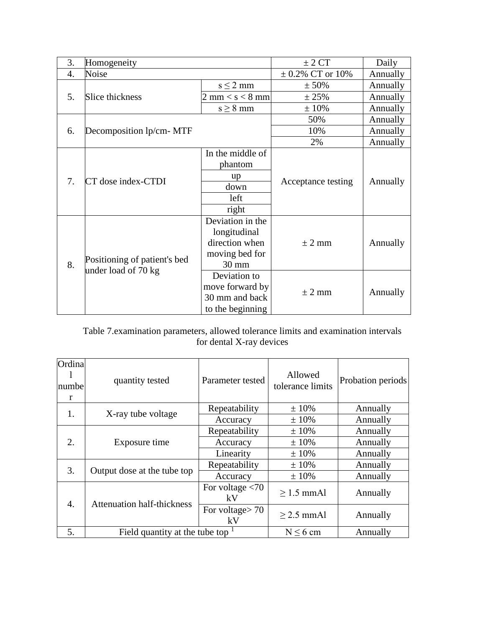| 3.  | Homogeneity                  |                                   | ± 2 CT               | Daily    |
|-----|------------------------------|-----------------------------------|----------------------|----------|
| 4.  | Noise                        |                                   | $\pm$ 0.2% CT or 10% | Annually |
|     |                              | $s \leq 2$ mm                     | ± 50%                | Annually |
| .5. | Slice thickness              | $2 \text{ mm} < s < 8 \text{ mm}$ | ± 25%                | Annually |
|     |                              | $s \geq 8$ mm                     | ± 10%                | Annually |
|     |                              |                                   | 50%                  | Annually |
| 6.  | Decomposition lp/cm- MTF     |                                   | 10%                  | Annually |
|     |                              |                                   | 2%                   | Annually |
|     |                              | In the middle of                  |                      |          |
|     | CT dose index-CTDI           | phantom                           |                      | Annually |
| 7.  |                              | up                                | Acceptance testing   |          |
|     |                              | down                              |                      |          |
|     |                              | left                              |                      |          |
|     |                              | right                             |                      |          |
|     |                              | Deviation in the                  |                      |          |
|     |                              | longitudinal                      |                      |          |
|     |                              | direction when                    | $\pm$ 2 mm           | Annually |
|     | Positioning of patient's bed | moving bed for                    |                      |          |
| 8.  | under load of 70 kg          | 30 mm                             |                      |          |
|     |                              | Deviation to                      |                      |          |
|     |                              | move forward by                   | $\pm$ 2 mm           | Annually |
|     |                              | 30 mm and back                    |                      |          |
|     |                              | to the beginning                  |                      |          |

Table 7.examination parameters, allowed tolerance limits and examination intervals for dental X-ray devices

| Ordina<br>numbe<br>r | quantity tested                              | Parameter tested         | Allowed<br>tolerance limits | Probation periods |
|----------------------|----------------------------------------------|--------------------------|-----------------------------|-------------------|
| 1.                   |                                              | Repeatability            | ± 10%                       | Annually          |
|                      | X-ray tube voltage                           | Accuracy                 | ± 10%                       | Annually          |
|                      |                                              | Repeatability            | $±10\%$                     | Annually          |
| 2.                   | Exposure time                                | Accuracy                 | $±10\%$                     | Annually          |
|                      |                                              | Linearity                | $±10\%$                     | Annually          |
| 3.                   |                                              | Repeatability            | $±10\%$                     | Annually          |
|                      | Output dose at the tube top                  | Accuracy                 | $±10\%$                     | Annually          |
|                      |                                              | For voltage $<$ 70<br>kV | $>1.5$ mmAl                 | Annually          |
| $\overline{4}$ .     | <b>Attenuation half-thickness</b>            | For voltage $> 70$<br>kV | $>$ 2.5 mmAl                | Annually          |
| 5.                   | Field quantity at the tube top $\frac{1}{1}$ |                          | $N \leq 6$ cm               | Annually          |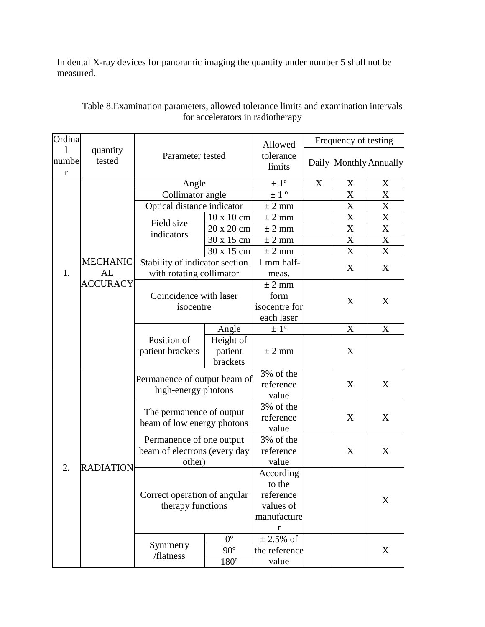In dental X-ray devices for panoramic imaging the quantity under number 5 shall not be measured.

| quantity<br>Parameter tested<br>tolerance<br>tested<br>numbe<br>Daily Monthly Annually<br>limits<br>r<br>$\pm$ 1 <sup>o</sup><br>Angle<br>X<br>X<br>X<br>$\pm$ 1 $^{\circ}$<br>Collimator angle<br>X<br>X<br>Optical distance indicator<br>X<br>X<br>$\pm$ 2 mm<br>10 x 10 cm<br>X<br>$\boldsymbol{\mathrm{X}}$<br>± 2 mm<br>Field size<br>20 x 20 cm<br>X<br>$\pm$ 2 mm<br>X<br>indicators<br>X<br>$\boldsymbol{\mathrm{X}}$<br>30 x 15 cm<br>$±$ 2 mm<br>X<br>$\boldsymbol{\mathrm{X}}$<br>30 x 15 cm<br>± 2 mm<br>Stability of indicator section<br><b>MECHANIC</b><br>1 mm half-<br>X<br>X<br>1.<br>AL<br>with rotating collimator<br>meas.<br><b>ACCURACY</b><br>$\pm$ 2 mm<br>Coincidence with laser<br>form<br>X<br>X | Ordina |  |                                                        |  | Allowed       | Frequency of testing |  |   |
|------------------------------------------------------------------------------------------------------------------------------------------------------------------------------------------------------------------------------------------------------------------------------------------------------------------------------------------------------------------------------------------------------------------------------------------------------------------------------------------------------------------------------------------------------------------------------------------------------------------------------------------------------------------------------------------------------------------------------|--------|--|--------------------------------------------------------|--|---------------|----------------------|--|---|
|                                                                                                                                                                                                                                                                                                                                                                                                                                                                                                                                                                                                                                                                                                                              |        |  |                                                        |  |               |                      |  |   |
|                                                                                                                                                                                                                                                                                                                                                                                                                                                                                                                                                                                                                                                                                                                              |        |  |                                                        |  |               |                      |  |   |
|                                                                                                                                                                                                                                                                                                                                                                                                                                                                                                                                                                                                                                                                                                                              |        |  |                                                        |  |               |                      |  |   |
|                                                                                                                                                                                                                                                                                                                                                                                                                                                                                                                                                                                                                                                                                                                              |        |  |                                                        |  |               |                      |  |   |
|                                                                                                                                                                                                                                                                                                                                                                                                                                                                                                                                                                                                                                                                                                                              |        |  |                                                        |  |               |                      |  |   |
|                                                                                                                                                                                                                                                                                                                                                                                                                                                                                                                                                                                                                                                                                                                              |        |  |                                                        |  |               |                      |  |   |
|                                                                                                                                                                                                                                                                                                                                                                                                                                                                                                                                                                                                                                                                                                                              |        |  |                                                        |  |               |                      |  |   |
|                                                                                                                                                                                                                                                                                                                                                                                                                                                                                                                                                                                                                                                                                                                              |        |  |                                                        |  |               |                      |  |   |
|                                                                                                                                                                                                                                                                                                                                                                                                                                                                                                                                                                                                                                                                                                                              |        |  |                                                        |  |               |                      |  |   |
|                                                                                                                                                                                                                                                                                                                                                                                                                                                                                                                                                                                                                                                                                                                              |        |  |                                                        |  |               |                      |  |   |
|                                                                                                                                                                                                                                                                                                                                                                                                                                                                                                                                                                                                                                                                                                                              |        |  |                                                        |  |               |                      |  |   |
|                                                                                                                                                                                                                                                                                                                                                                                                                                                                                                                                                                                                                                                                                                                              |        |  | isocentre                                              |  |               |                      |  |   |
|                                                                                                                                                                                                                                                                                                                                                                                                                                                                                                                                                                                                                                                                                                                              |        |  |                                                        |  | isocentre for |                      |  |   |
| each laser                                                                                                                                                                                                                                                                                                                                                                                                                                                                                                                                                                                                                                                                                                                   |        |  |                                                        |  |               |                      |  |   |
| $\pm 1^{\circ}$<br>Angle<br>X<br>X                                                                                                                                                                                                                                                                                                                                                                                                                                                                                                                                                                                                                                                                                           |        |  |                                                        |  |               |                      |  |   |
| Position of<br>Height of                                                                                                                                                                                                                                                                                                                                                                                                                                                                                                                                                                                                                                                                                                     |        |  |                                                        |  |               |                      |  |   |
| patient brackets<br>patient<br>X<br>$\pm$ 2 mm                                                                                                                                                                                                                                                                                                                                                                                                                                                                                                                                                                                                                                                                               |        |  |                                                        |  |               |                      |  |   |
| brackets                                                                                                                                                                                                                                                                                                                                                                                                                                                                                                                                                                                                                                                                                                                     |        |  |                                                        |  |               |                      |  |   |
| 3% of the                                                                                                                                                                                                                                                                                                                                                                                                                                                                                                                                                                                                                                                                                                                    |        |  | Permanence of output beam of<br>high-energy photons    |  |               |                      |  |   |
| X<br>reference<br>X                                                                                                                                                                                                                                                                                                                                                                                                                                                                                                                                                                                                                                                                                                          |        |  |                                                        |  |               |                      |  |   |
| value                                                                                                                                                                                                                                                                                                                                                                                                                                                                                                                                                                                                                                                                                                                        |        |  |                                                        |  |               |                      |  |   |
| 3% of the                                                                                                                                                                                                                                                                                                                                                                                                                                                                                                                                                                                                                                                                                                                    |        |  | The permanence of output<br>beam of low energy photons |  |               |                      |  |   |
| reference                                                                                                                                                                                                                                                                                                                                                                                                                                                                                                                                                                                                                                                                                                                    |        |  |                                                        |  |               | X                    |  | X |
| value                                                                                                                                                                                                                                                                                                                                                                                                                                                                                                                                                                                                                                                                                                                        |        |  |                                                        |  |               |                      |  |   |
| 3% of the<br>Permanence of one output                                                                                                                                                                                                                                                                                                                                                                                                                                                                                                                                                                                                                                                                                        |        |  |                                                        |  |               |                      |  |   |
| X<br>beam of electrons (every day<br>reference<br>X                                                                                                                                                                                                                                                                                                                                                                                                                                                                                                                                                                                                                                                                          |        |  |                                                        |  |               |                      |  |   |
| other)<br>value<br><b>RADIATION</b><br>2.                                                                                                                                                                                                                                                                                                                                                                                                                                                                                                                                                                                                                                                                                    |        |  |                                                        |  |               |                      |  |   |
| According                                                                                                                                                                                                                                                                                                                                                                                                                                                                                                                                                                                                                                                                                                                    |        |  |                                                        |  |               |                      |  |   |
| to the<br>reference                                                                                                                                                                                                                                                                                                                                                                                                                                                                                                                                                                                                                                                                                                          |        |  |                                                        |  |               |                      |  |   |
| Correct operation of angular<br>X<br>therapy functions<br>values of                                                                                                                                                                                                                                                                                                                                                                                                                                                                                                                                                                                                                                                          |        |  |                                                        |  |               |                      |  |   |
| manufacture                                                                                                                                                                                                                                                                                                                                                                                                                                                                                                                                                                                                                                                                                                                  |        |  |                                                        |  |               |                      |  |   |
| $\bf r$                                                                                                                                                                                                                                                                                                                                                                                                                                                                                                                                                                                                                                                                                                                      |        |  |                                                        |  |               |                      |  |   |
| $0^{\circ}$<br>$\pm$ 2.5% of                                                                                                                                                                                                                                                                                                                                                                                                                                                                                                                                                                                                                                                                                                 |        |  |                                                        |  |               |                      |  |   |
| Symmetry<br>$90^\circ$<br>the reference<br>X                                                                                                                                                                                                                                                                                                                                                                                                                                                                                                                                                                                                                                                                                 |        |  |                                                        |  |               |                      |  |   |
| /flatness<br>$180^{\circ}$<br>value                                                                                                                                                                                                                                                                                                                                                                                                                                                                                                                                                                                                                                                                                          |        |  |                                                        |  |               |                      |  |   |

Table 8.Examination parameters, allowed tolerance limits and examination intervals for accelerators in radiotherapy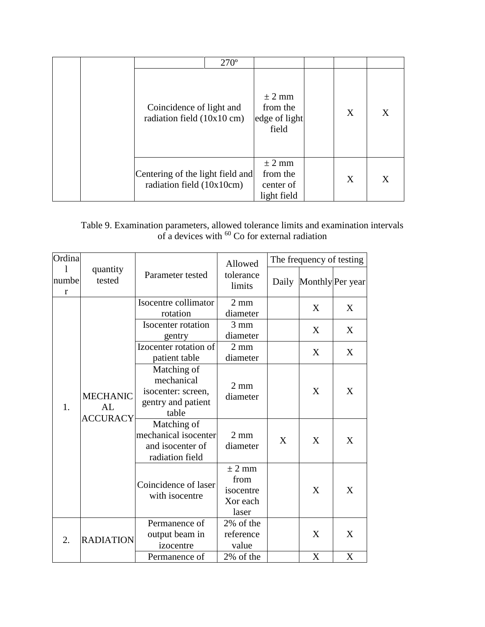|  |                                                                  | $270^\circ$ |                                                    |   |   |
|--|------------------------------------------------------------------|-------------|----------------------------------------------------|---|---|
|  | Coincidence of light and<br>radiation field $(10x10 \text{ cm})$ |             | $\pm$ 2 mm<br>from the<br>edge of light<br>field   | X | X |
|  | Centering of the light field and<br>radiation field (10x10cm)    |             | $\pm$ 2 mm<br>from the<br>center of<br>light field | X | X |

# Table 9. Examination parameters, allowed tolerance limits and examination intervals of a devices with  $60$  Co for external radiation

| Ordina                |                                          |                                                                                | Allowed                                            |   | The frequency of testing |                        |
|-----------------------|------------------------------------------|--------------------------------------------------------------------------------|----------------------------------------------------|---|--------------------------|------------------------|
| numbe<br>$\mathbf{r}$ | quantity<br>tested                       | Parameter tested                                                               | tolerance<br>limits                                |   |                          | Daily Monthly Per year |
|                       |                                          | Isocentre collimator<br>rotation                                               | $2 \text{ mm}$<br>diameter                         |   | X                        | X                      |
| 1.                    |                                          | Isocenter rotation<br>gentry                                                   | $3 \text{ mm}$<br>diameter                         |   | X                        | X                      |
|                       |                                          | Izocenter rotation of<br>patient table                                         | $2 \text{ mm}$<br>diameter                         |   | X                        | X                      |
|                       | <b>MECHANIC</b><br>AL<br><b>ACCURACY</b> | Matching of<br>mechanical<br>isocenter: screen,<br>gentry and patient<br>table | $2 \text{ mm}$<br>diameter                         |   | X                        | X                      |
|                       |                                          | Matching of<br>mechanical isocenter<br>and isocenter of<br>radiation field     | $2 \text{ mm}$<br>diameter                         | X | X                        | X                      |
|                       |                                          | Coincidence of laser<br>with isocentre                                         | $±$ 2 mm<br>from<br>isocentre<br>Xor each<br>laser |   | X                        | X                      |
| 2.                    | <b>RADIATION</b>                         | Permanence of<br>output beam in<br>izocentre                                   | 2% of the<br>reference<br>value                    |   | X                        | X                      |
|                       |                                          | Permanence of                                                                  | 2% of the                                          |   | X                        | X                      |